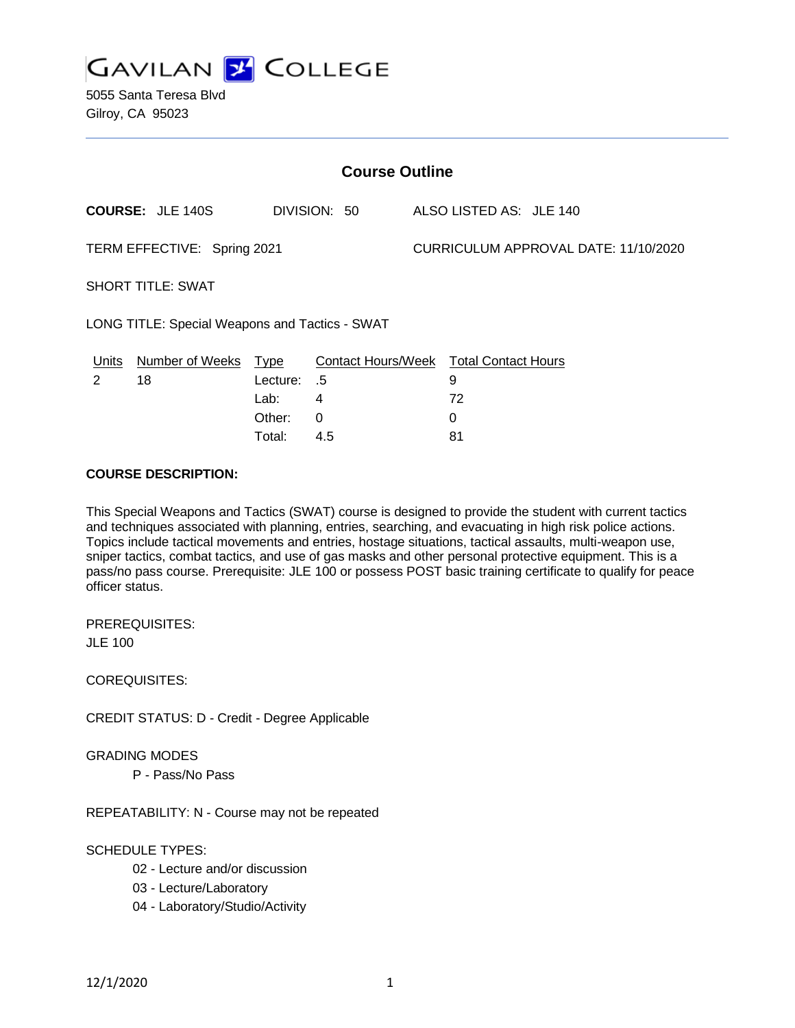

5055 Santa Teresa Blvd Gilroy, CA 95023

| <b>Course Outline</b>                          |                         |                                                     |                            |                                      |                                                              |  |
|------------------------------------------------|-------------------------|-----------------------------------------------------|----------------------------|--------------------------------------|--------------------------------------------------------------|--|
|                                                | <b>COURSE: JLE 140S</b> |                                                     | DIVISION: 50               |                                      | ALSO LISTED AS: JLE 140                                      |  |
| TERM EFFECTIVE: Spring 2021                    |                         |                                                     |                            | CURRICULUM APPROVAL DATE: 11/10/2020 |                                                              |  |
| <b>SHORT TITLE: SWAT</b>                       |                         |                                                     |                            |                                      |                                                              |  |
| LONG TITLE: Special Weapons and Tactics - SWAT |                         |                                                     |                            |                                      |                                                              |  |
| <u>Units</u><br>2                              | Number of Weeks<br>18   | <u>Type</u><br>Lecture:<br>Lab:<br>Other:<br>Total: | .5<br>4<br>$\Omega$<br>4.5 |                                      | Contact Hours/Week Total Contact Hours<br>9<br>72<br>0<br>81 |  |

### **COURSE DESCRIPTION:**

This Special Weapons and Tactics (SWAT) course is designed to provide the student with current tactics and techniques associated with planning, entries, searching, and evacuating in high risk police actions. Topics include tactical movements and entries, hostage situations, tactical assaults, multi-weapon use, sniper tactics, combat tactics, and use of gas masks and other personal protective equipment. This is a pass/no pass course. Prerequisite: JLE 100 or possess POST basic training certificate to qualify for peace officer status.

PREREQUISITES: JLE 100

COREQUISITES:

CREDIT STATUS: D - Credit - Degree Applicable

#### GRADING MODES

P - Pass/No Pass

REPEATABILITY: N - Course may not be repeated

### SCHEDULE TYPES:

- 02 Lecture and/or discussion
- 03 Lecture/Laboratory
- 04 Laboratory/Studio/Activity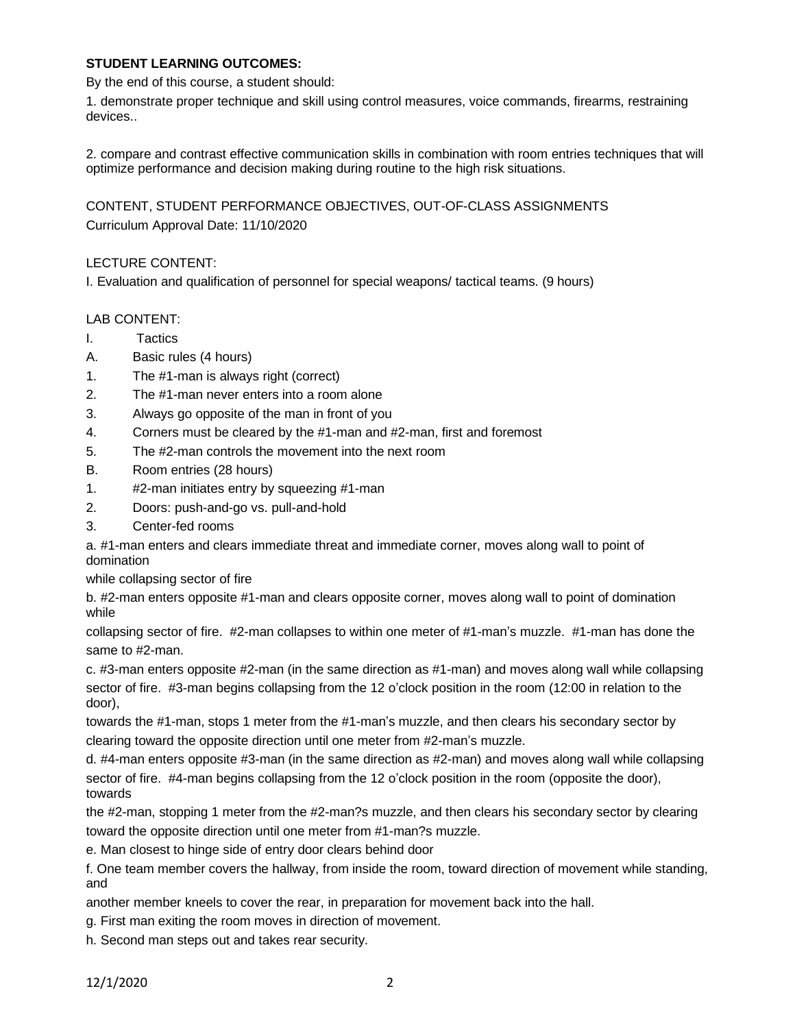### **STUDENT LEARNING OUTCOMES:**

By the end of this course, a student should:

1. demonstrate proper technique and skill using control measures, voice commands, firearms, restraining devices..

2. compare and contrast effective communication skills in combination with room entries techniques that will optimize performance and decision making during routine to the high risk situations.

CONTENT, STUDENT PERFORMANCE OBJECTIVES, OUT-OF-CLASS ASSIGNMENTS Curriculum Approval Date: 11/10/2020

# LECTURE CONTENT:

I. Evaluation and qualification of personnel for special weapons/ tactical teams. (9 hours)

# LAB CONTENT:

- I. Tactics
- A. Basic rules (4 hours)
- 1. The #1-man is always right (correct)
- 2. The #1-man never enters into a room alone
- 3. Always go opposite of the man in front of you
- 4. Corners must be cleared by the #1-man and #2-man, first and foremost
- 5. The #2-man controls the movement into the next room
- B. Room entries (28 hours)
- 1. #2-man initiates entry by squeezing #1-man
- 2. Doors: push-and-go vs. pull-and-hold
- 3. Center-fed rooms

a. #1-man enters and clears immediate threat and immediate corner, moves along wall to point of domination

while collapsing sector of fire

b. #2-man enters opposite #1-man and clears opposite corner, moves along wall to point of domination while

collapsing sector of fire. #2-man collapses to within one meter of #1-man's muzzle. #1-man has done the same to #2-man.

c. #3-man enters opposite #2-man (in the same direction as #1-man) and moves along wall while collapsing sector of fire. #3-man begins collapsing from the 12 o'clock position in the room (12:00 in relation to the door),

towards the #1-man, stops 1 meter from the #1-man's muzzle, and then clears his secondary sector by clearing toward the opposite direction until one meter from #2-man's muzzle.

d. #4-man enters opposite #3-man (in the same direction as #2-man) and moves along wall while collapsing sector of fire. #4-man begins collapsing from the 12 o'clock position in the room (opposite the door), towards

the #2-man, stopping 1 meter from the #2-man?s muzzle, and then clears his secondary sector by clearing toward the opposite direction until one meter from #1-man?s muzzle.

e. Man closest to hinge side of entry door clears behind door

f. One team member covers the hallway, from inside the room, toward direction of movement while standing, and

another member kneels to cover the rear, in preparation for movement back into the hall.

g. First man exiting the room moves in direction of movement.

h. Second man steps out and takes rear security.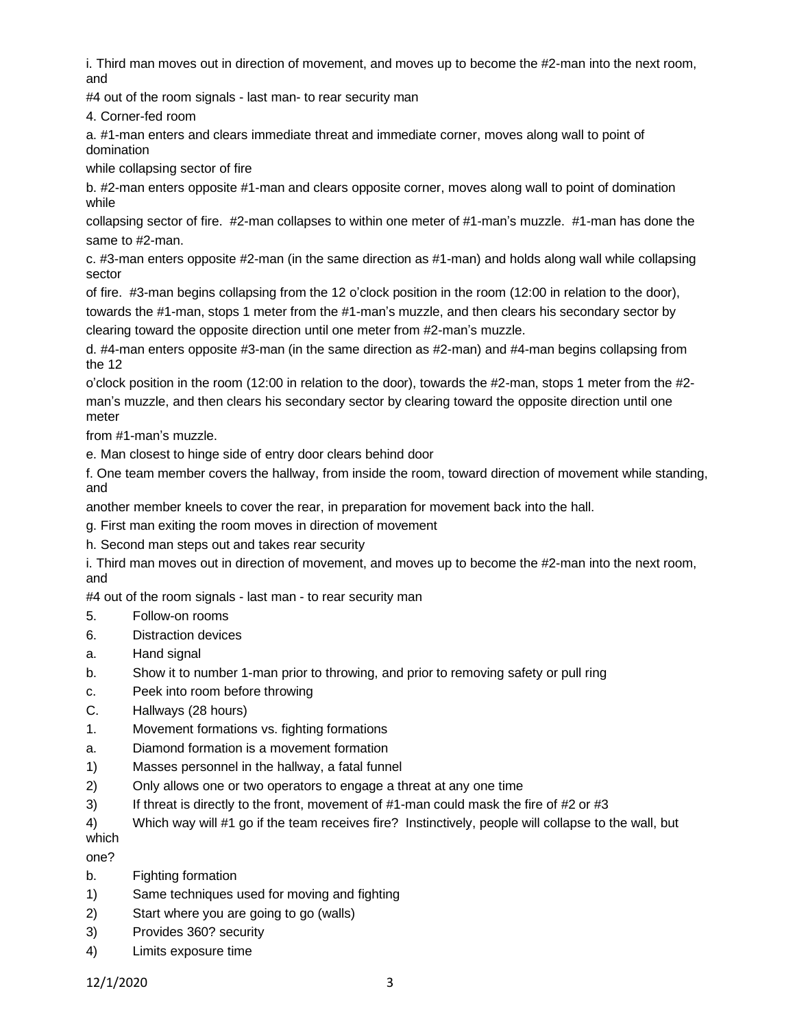i. Third man moves out in direction of movement, and moves up to become the #2-man into the next room, and

#4 out of the room signals - last man- to rear security man

4. Corner-fed room

a. #1-man enters and clears immediate threat and immediate corner, moves along wall to point of domination

while collapsing sector of fire

b. #2-man enters opposite #1-man and clears opposite corner, moves along wall to point of domination while

collapsing sector of fire. #2-man collapses to within one meter of #1-man's muzzle. #1-man has done the same to #2-man.

c. #3-man enters opposite #2-man (in the same direction as #1-man) and holds along wall while collapsing sector

of fire. #3-man begins collapsing from the 12 o'clock position in the room (12:00 in relation to the door), towards the #1-man, stops 1 meter from the #1-man's muzzle, and then clears his secondary sector by clearing toward the opposite direction until one meter from #2-man's muzzle.

d. #4-man enters opposite #3-man (in the same direction as #2-man) and #4-man begins collapsing from the 12

o'clock position in the room (12:00 in relation to the door), towards the #2-man, stops 1 meter from the #2 man's muzzle, and then clears his secondary sector by clearing toward the opposite direction until one meter

from #1-man's muzzle.

e. Man closest to hinge side of entry door clears behind door

f. One team member covers the hallway, from inside the room, toward direction of movement while standing, and

another member kneels to cover the rear, in preparation for movement back into the hall.

g. First man exiting the room moves in direction of movement

h. Second man steps out and takes rear security

i. Third man moves out in direction of movement, and moves up to become the #2-man into the next room, and

#4 out of the room signals - last man - to rear security man

- 5. Follow-on rooms
- 6. Distraction devices
- a. Hand signal
- b. Show it to number 1-man prior to throwing, and prior to removing safety or pull ring
- c. Peek into room before throwing
- C. Hallways (28 hours)
- 1. Movement formations vs. fighting formations
- a. Diamond formation is a movement formation
- 1) Masses personnel in the hallway, a fatal funnel
- 2) Only allows one or two operators to engage a threat at any one time
- 3) If threat is directly to the front, movement of #1-man could mask the fire of #2 or #3
- 4) Which way will #1 go if the team receives fire? Instinctively, people will collapse to the wall, but which

one?

- b. Fighting formation
- 1) Same techniques used for moving and fighting
- 2) Start where you are going to go (walls)
- 3) Provides 360? security
- 4) Limits exposure time

12/1/2020 3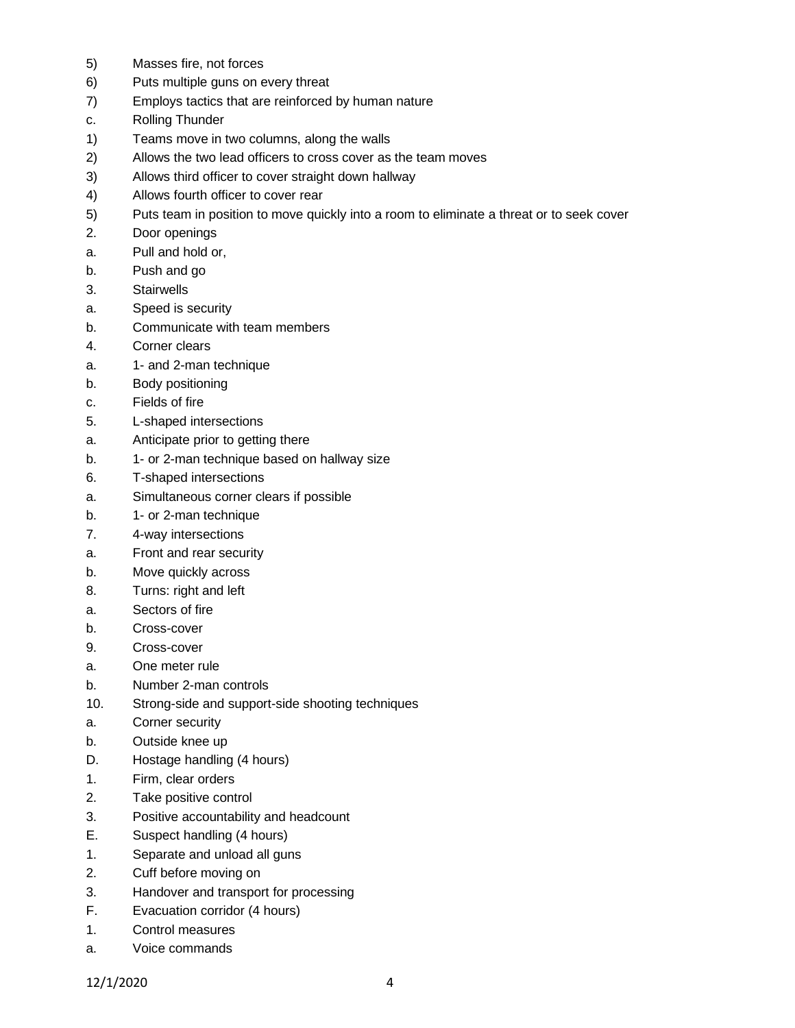- 5) Masses fire, not forces
- 6) Puts multiple guns on every threat
- 7) Employs tactics that are reinforced by human nature
- c. Rolling Thunder
- 1) Teams move in two columns, along the walls
- 2) Allows the two lead officers to cross cover as the team moves
- 3) Allows third officer to cover straight down hallway
- 4) Allows fourth officer to cover rear
- 5) Puts team in position to move quickly into a room to eliminate a threat or to seek cover
- 2. Door openings
- a. Pull and hold or,
- b. Push and go
- 3. Stairwells
- a. Speed is security
- b. Communicate with team members
- 4. Corner clears
- a. 1- and 2-man technique
- b. Body positioning
- c. Fields of fire
- 5. L-shaped intersections
- a. Anticipate prior to getting there
- b. 1- or 2-man technique based on hallway size
- 6. T-shaped intersections
- a. Simultaneous corner clears if possible
- b. 1- or 2-man technique
- 7. 4-way intersections
- a. Front and rear security
- b. Move quickly across
- 8. Turns: right and left
- a. Sectors of fire
- b. Cross-cover
- 9. Cross-cover
- a. One meter rule
- b. Number 2-man controls
- 10. Strong-side and support-side shooting techniques
- a. Corner security
- b. Outside knee up
- D. Hostage handling (4 hours)
- 1. Firm, clear orders
- 2. Take positive control
- 3. Positive accountability and headcount
- E. Suspect handling (4 hours)
- 1. Separate and unload all guns
- 2. Cuff before moving on
- 3. Handover and transport for processing
- F. Evacuation corridor (4 hours)
- 1. Control measures
- a. Voice commands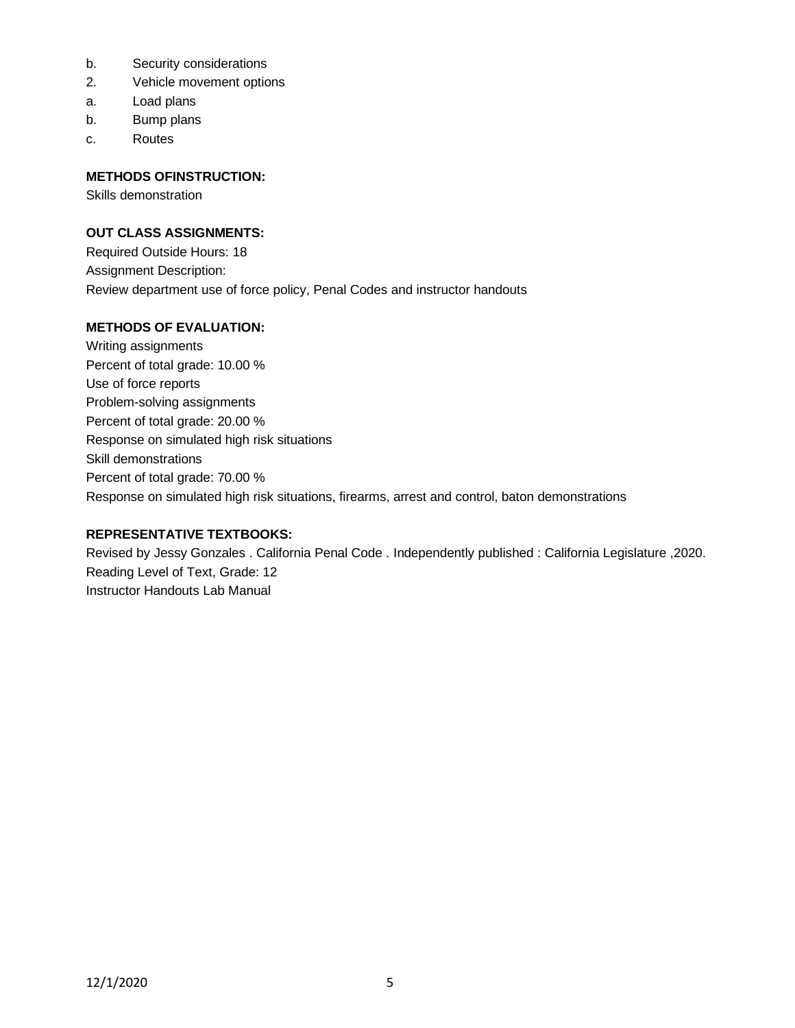- b. Security considerations
- 2. Vehicle movement options
- a. Load plans
- b. Bump plans
- c. Routes

# **METHODS OFINSTRUCTION:**

Skills demonstration

# **OUT CLASS ASSIGNMENTS:**

Required Outside Hours: 18 Assignment Description: Review department use of force policy, Penal Codes and instructor handouts

# **METHODS OF EVALUATION:**

Writing assignments Percent of total grade: 10.00 % Use of force reports Problem-solving assignments Percent of total grade: 20.00 % Response on simulated high risk situations Skill demonstrations Percent of total grade: 70.00 % Response on simulated high risk situations, firearms, arrest and control, baton demonstrations

### **REPRESENTATIVE TEXTBOOKS:**

Revised by Jessy Gonzales . California Penal Code . Independently published : California Legislature ,2020. Reading Level of Text, Grade: 12 Instructor Handouts Lab Manual